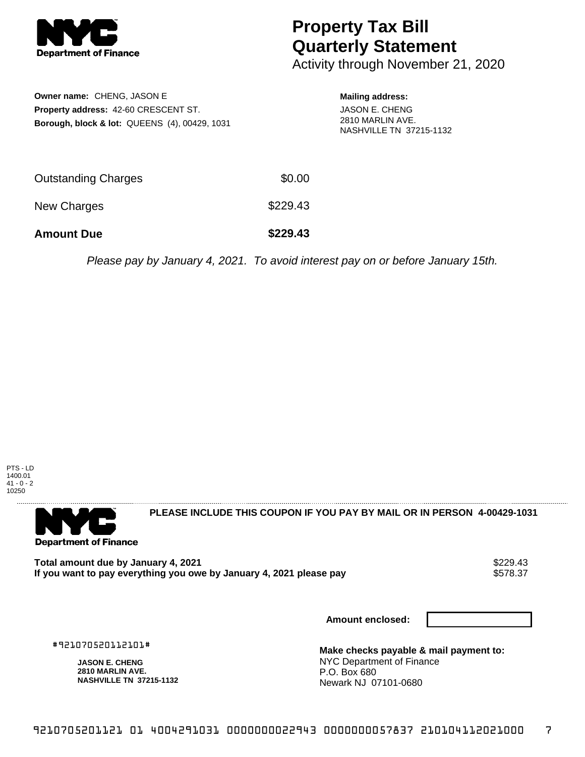

## **Property Tax Bill Quarterly Statement**

Activity through November 21, 2020

| <b>Owner name: CHENG, JASON E</b>                        |  |  |  |  |
|----------------------------------------------------------|--|--|--|--|
| <b>Property address: 42-60 CRESCENT ST.</b>              |  |  |  |  |
| <b>Borough, block &amp; lot: QUEENS (4), 00429, 1031</b> |  |  |  |  |

## **Mailing address:**

JASON E. CHENG 2810 MARLIN AVE. NASHVILLE TN 37215-1132

| <b>Amount Due</b>          | \$229.43 |
|----------------------------|----------|
| New Charges                | \$229.43 |
| <b>Outstanding Charges</b> | \$0.00   |

Please pay by January 4, 2021. To avoid interest pay on or before January 15th.





**PLEASE INCLUDE THIS COUPON IF YOU PAY BY MAIL OR IN PERSON 4-00429-1031** 

Total amount due by January 4, 2021<br>If you want to pay everything you owe by January 4, 2021 please pay **show that we have also write the US** \$578.37 If you want to pay everything you owe by January 4, 2021 please pay

**Amount enclosed:**

#921070520112101#

**JASON E. CHENG 2810 MARLIN AVE. NASHVILLE TN 37215-1132** **Make checks payable & mail payment to:** NYC Department of Finance P.O. Box 680 Newark NJ 07101-0680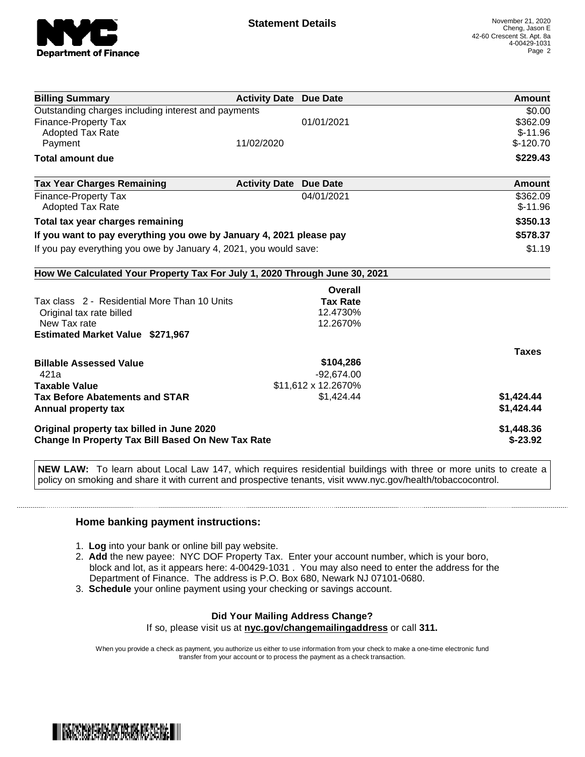

| <b>Billing Summary</b>                                                     | <b>Activity Date Due Date</b> |                     | Amount       |
|----------------------------------------------------------------------------|-------------------------------|---------------------|--------------|
| Outstanding charges including interest and payments                        |                               |                     | \$0.00       |
| <b>Finance-Property Tax</b>                                                |                               | 01/01/2021          | \$362.09     |
| <b>Adopted Tax Rate</b>                                                    |                               |                     | $$-11.96$    |
| Payment                                                                    | 11/02/2020                    |                     | $$-120.70$   |
| <b>Total amount due</b>                                                    |                               |                     | \$229.43     |
| <b>Tax Year Charges Remaining</b>                                          | <b>Activity Date</b>          | <b>Due Date</b>     | Amount       |
| Finance-Property Tax                                                       |                               | 04/01/2021          | \$362.09     |
| Adopted Tax Rate                                                           |                               |                     | $$-11.96$    |
| Total tax year charges remaining                                           |                               |                     | \$350.13     |
| If you want to pay everything you owe by January 4, 2021 please pay        | \$578.37                      |                     |              |
| If you pay everything you owe by January 4, 2021, you would save:          | \$1.19                        |                     |              |
| How We Calculated Your Property Tax For July 1, 2020 Through June 30, 2021 |                               |                     |              |
|                                                                            |                               | <b>Overall</b>      |              |
| Tax class 2 - Residential More Than 10 Units                               |                               | <b>Tax Rate</b>     |              |
| Original tax rate billed                                                   |                               | 12.4730%            |              |
| New Tax rate                                                               |                               | 12.2670%            |              |
| <b>Estimated Market Value \$271,967</b>                                    |                               |                     |              |
|                                                                            |                               |                     | <b>Taxes</b> |
| <b>Billable Assessed Value</b>                                             |                               | \$104,286           |              |
| 421a                                                                       |                               | $-92,674.00$        |              |
| <b>Taxable Value</b>                                                       |                               | \$11,612 x 12.2670% |              |
| <b>Tax Before Abatements and STAR</b>                                      |                               | \$1,424.44          | \$1,424.44   |
| Annual property tax                                                        |                               |                     | \$1,424.44   |
| Original property tax billed in June 2020                                  |                               |                     | \$1,448.36   |
| <b>Change In Property Tax Bill Based On New Tax Rate</b>                   |                               |                     | $$-23.92$    |

**NEW LAW:** To learn about Local Law 147, which requires residential buildings with three or more units to create a policy on smoking and share it with current and prospective tenants, visit www.nyc.gov/health/tobaccocontrol.

## **Home banking payment instructions:**

- 1. **Log** into your bank or online bill pay website.
- 2. **Add** the new payee: NYC DOF Property Tax. Enter your account number, which is your boro, block and lot, as it appears here: 4-00429-1031 . You may also need to enter the address for the Department of Finance. The address is P.O. Box 680, Newark NJ 07101-0680.
- 3. **Schedule** your online payment using your checking or savings account.

## **Did Your Mailing Address Change?** If so, please visit us at **nyc.gov/changemailingaddress** or call **311.**

When you provide a check as payment, you authorize us either to use information from your check to make a one-time electronic fund transfer from your account or to process the payment as a check transaction.